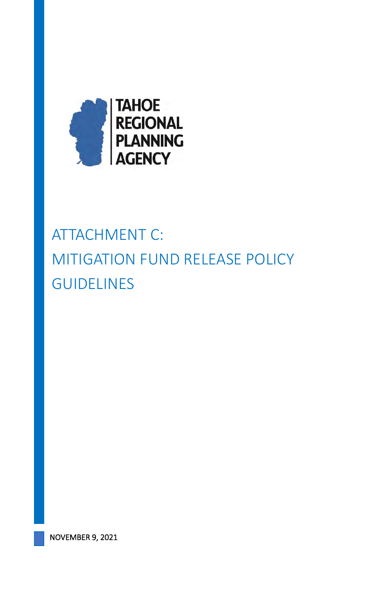

# ATTACHMENT C: MITIGATION FUND RELEASE POLICY GUIDELINES

NOVEMBER 9, 2021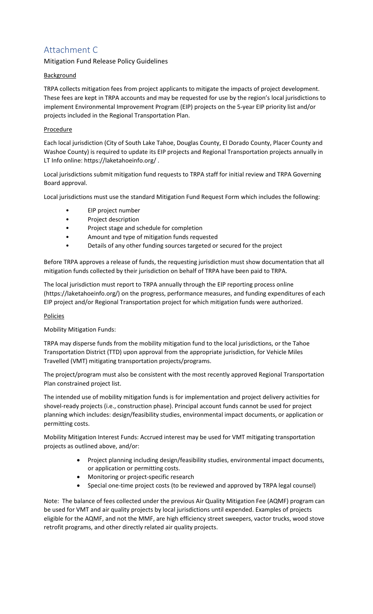# Attachment C

Mitigation Fund Release Policy Guidelines

# **Background**

TRPA collects mitigation fees from project applicants to mitigate the impacts of project development. These fees are kept in TRPA accounts and may be requested for use by the region's local jurisdictions to implement Environmental Improvement Program (EIP) projects on the 5-year EIP priority list and/or projects included in the Regional Transportation Plan.

# **Procedure**

Each local jurisdiction (City of South Lake Tahoe, Douglas County, El Dorado County, Placer County and Washoe County) is required to update its EIP projects and Regional Transportation projects annually in LT Info online: https://laketahoeinfo.org/ .

Local jurisdictions submit mitigation fund requests to TRPA staff for initial review and TRPA Governing Board approval.

Local jurisdictions must use the standard Mitigation Fund Request Form which includes the following:

- EIP project number
- Project description
- Project stage and schedule for completion
- Amount and type of mitigation funds requested
- Details of any other funding sources targeted or secured for the project

Before TRPA approves a release of funds, the requesting jurisdiction must show documentation that all mitigation funds collected by their jurisdiction on behalf of TRPA have been paid to TRPA.

The local jurisdiction must report to TRPA annually through the EIP reporting process online (https://laketahoeinfo.org/) on the progress, performance measures, and funding expenditures of each EIP project and/or Regional Transportation project for which mitigation funds were authorized.

### **Policies**

Mobility Mitigation Funds:

TRPA may disperse funds from the mobility mitigation fund to the local jurisdictions, or the Tahoe Transportation District (TTD) upon approval from the appropriate jurisdiction, for Vehicle Miles Travelled (VMT) mitigating transportation projects/programs.

The project/program must also be consistent with the most recently approved Regional Transportation Plan constrained project list.

The intended use of mobility mitigation funds is for implementation and project delivery activities for shovel-ready projects (i.e., construction phase). Principal account funds cannot be used for project planning which includes: design/feasibility studies, environmental impact documents, or application or permitting costs.

Mobility Mitigation Interest Funds: Accrued interest may be used for VMT mitigating transportation projects as outlined above, and/or:

- Project planning including design/feasibility studies, environmental impact documents, or application or permitting costs.
- Monitoring or project-specific research
- Special one-time project costs (to be reviewed and approved by TRPA legal counsel)

Note: The balance of fees collected under the previous Air Quality Mitigation Fee (AQMF) program can be used for VMT and air quality projects by local jurisdictions until expended. Examples of projects eligible for the AQMF, and not the MMF, are high efficiency street sweepers, vactor trucks, wood stove retrofit programs, and other directly related air quality projects.